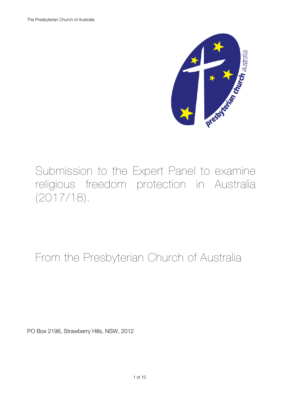

Submission to the Expert Panel to examine religious freedom protection in Australia (2017/18).

From the Presbyterian Church of Australia

PO Box 2196, Strawberry Hills, NSW, 2012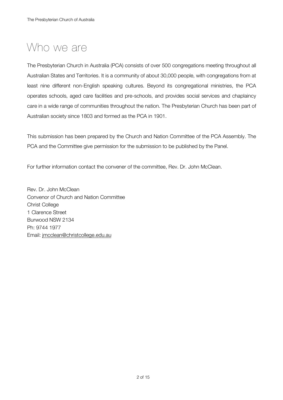# Who we are

The Presbyterian Church in Australia (PCA) consists of over 500 congregations meeting throughout all Australian States and Territories. It is a community of about 30,000 people, with congregations from at least nine different non-English speaking cultures. Beyond its congregational ministries, the PCA operates schools, aged care facilities and pre-schools, and provides social services and chaplaincy care in a wide range of communities throughout the nation. The Presbyterian Church has been part of Australian society since 1803 and formed as the PCA in 1901.

This submission has been prepared by the Church and Nation Committee of the PCA Assembly. The PCA and the Committee give permission for the submission to be published by the Panel.

For further information contact the convener of the committee, Rev. Dr. John McClean.

Rev. Dr. John McClean Convenor of Church and Nation Committee Christ College 1 Clarence Street Burwood NSW 2134 Ph: 9744 1977 Email: jmcclean@christcollege.edu.au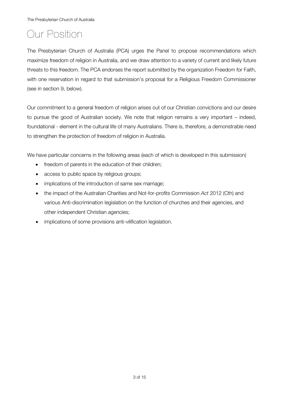The Presbyterian Church of Australia

# Our Position

The Presbyterian Church of Australia (PCA) urges the Panel to propose recommendations which maximize freedom of religion in Australia, and we draw attention to a variety of current and likely future threats to this freedom. The PCA endorses the report submitted by the organization Freedom for Faith, with one reservation in regard to that submission's proposal for a Religious Freedom Commissioner (see in section 9, below).

Our commitment to a general freedom of religion arises out of our Christian convictions and our desire to pursue the good of Australian society. We note that religion remains a very important – indeed, foundational - element in the cultural life of many Australians. There is, therefore, a demonstrable need to strengthen the protection of freedom of religion in Australia.

We have particular concerns in the following areas (each of which is developed in this submission)

- freedom of parents in the education of their children;
- access to public space by religious groups;
- implications of the introduction of same sex marriage;
- the impact of the Australian Charities and Not-for-profits Commission *Act* 2012 (Cth) and various Anti-discrimination legislation on the function of churches and their agencies, and other independent Christian agencies;
- implications of some provisions anti-vilification legislation.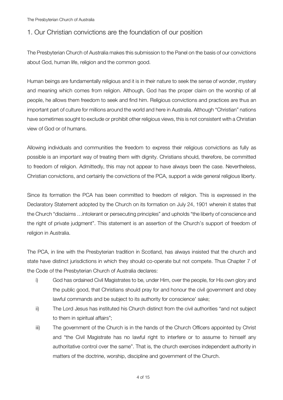### 1. Our Christian convictions are the foundation of our position

The Presbyterian Church of Australia makes this submission to the Panel on the basis of our convictions about God, human life, religion and the common good.

Human beings are fundamentally religious and it is in their nature to seek the sense of wonder, mystery and meaning which comes from religion. Although, God has the proper claim on the worship of all people, he allows them freedom to seek and find him. Religious convictions and practices are thus an important part of culture for millions around the world and here in Australia. Although "Christian" nations have sometimes sought to exclude or prohibit other religious views, this is not consistent with a Christian view of God or of humans.

Allowing individuals and communities the freedom to express their religious convictions as fully as possible is an important way of treating them with dignity. Christians should, therefore, be committed to freedom of religion. Admittedly, this may not appear to have always been the case. Nevertheless, Christian convictions, and certainly the convictions of the PCA, support a wide general religious liberty.

Since its formation the PCA has been committed to freedom of religion. This is expressed in the Declaratory Statement adopted by the Church on its formation on July 24, 1901 wherein it states that the Church "disclaims …intolerant or persecuting principles" and upholds "the liberty of conscience and the right of private judgment". This statement is an assertion of the Church's support of freedom of religion in Australia.

The PCA, in line with the Presbyterian tradition in Scotland, has always insisted that the church and state have distinct jurisdictions in which they should co-operate but not compete. Thus Chapter 7 of the Code of the Presbyterian Church of Australia declares:

- i) God has ordained Civil Magistrates to be, under Him, over the people, for His own glory and the public good, that Christians should pray for and honour the civil government and obey lawful commands and be subject to its authority for conscience' sake;
- ii) The Lord Jesus has instituted his Church distinct from the civil authorities "and not subject to them in spiritual affairs";
- iii) The government of the Church is in the hands of the Church Officers appointed by Christ and "the Civil Magistrate has no lawful right to interfere or to assume to himself any authoritative control over the same". That is, the church exercises independent authority in matters of the doctrine, worship, discipline and government of the Church.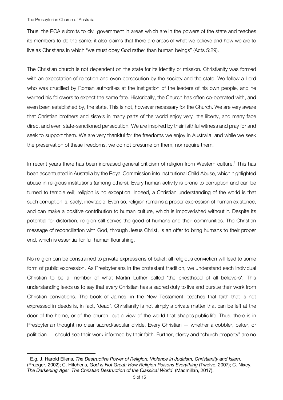#### The Presbyterian Church of Australia

 $\overline{a}$ 

Thus, the PCA submits to civil government in areas which are in the powers of the state and teaches its members to do the same; it also claims that there are areas of what we believe and how we are to live as Christians in which "we must obey God rather than human beings" (Acts 5:29).

The Christian church is not dependent on the state for its identity or mission. Christianity was formed with an expectation of rejection and even persecution by the society and the state. We follow a Lord who was crucified by Roman authorities at the instigation of the leaders of his own people, and he warned his followers to expect the same fate. Historically, the Church has often co-operated with, and even been established by, the state. This is not, however necessary for the Church. We are very aware that Christian brothers and sisters in many parts of the world enjoy very little liberty, and many face direct and even state-sanctioned persecution. We are inspired by their faithful witness and pray for and seek to support them. We are very thankful for the freedoms we enjoy in Australia, and while we seek the preservation of these freedoms, we do not presume on them, nor require them.

In recent years there has been increased general criticism of religion from Western culture.<sup>1</sup> This has been accentuated in Australia by the Royal Commission into Institutional Child Abuse, which highlighted abuse in religious institutions (among others). Every human activity is prone to corruption and can be turned to terrible evil; religion is no exception. Indeed, a Christian understanding of the world is that such corruption is, sadly, inevitable. Even so, religion remains a proper expression of human existence, and can make a positive contribution to human culture, which is impoverished without it. Despite its potential for distortion, religion still serves the good of humans and their communities. The Christian message of reconciliation with God, through Jesus Christ, is an offer to bring humans to their proper end, which is essential for full human flourishing.

No religion can be constrained to private expressions of belief; all religious conviction will lead to some form of public expression. As Presbyterians in the protestant tradition, we understand each individual Christian to be a member of what Martin Luther called 'the priesthood of all believers'. This understanding leads us to say that every Christian has a sacred duty to live and pursue their work from Christian convictions. The book of James, in the New Testament, teaches that faith that is not expressed in deeds is, in fact, 'dead'. Christianity is not simply a private matter that can be left at the door of the home, or of the church, but a view of the world that shapes public life. Thus, there is in Presbyterian thought no clear sacred/secular divide. Every Christian — whether a cobbler, baker, or politician — should see their work informed by their faith. Further, clergy and "church property" are no

<sup>1</sup> E.g. J. Harold Ellens, *The Destructive Power of Religion: Violence in Judaism, Christianity and Islam*. (Praeger, 2002); C. Hitchens, *God is Not Great: How Religion Poisons Everything* (Twelve, 2007); C. Nixey, *The Darkening Age: The Christian Destruction of the Classical World* (Macmillan, 2017).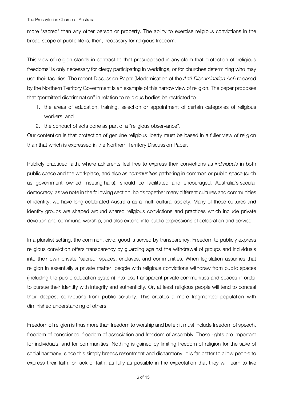more 'sacred' than any other person or property. The ability to exercise religious convictions in the broad scope of public life is, then, necessary for religious freedom.

This view of religion stands in contrast to that presupposed in any claim that protection of 'religious freedoms' is only necessary for clergy participating in weddings, or for churches determining who may use their facilities. The recent Discussion Paper (Modernisation of the *Anti-Discrimination Act*) released by the Northern Territory Government is an example of this narrow view of religion. The paper proposes that "permitted discrimination" in relation to religious bodies be restricted to

- 1. the areas of education, training, selection or appointment of certain categories of religious workers; and
- 2. the conduct of acts done as part of a "religious observance".

Our contention is that protection of genuine religious liberty must be based in a fuller view of religion than that which is expressed in the Northern Territory Discussion Paper.

Publicly practiced faith, where adherents feel free to express their convictions as *individuals* in both public space and the workplace, and also as *communities* gathering in common or public space (such as government owned meeting halls), should be facilitated and encouraged. Australia's secular democracy, as we note in the following section, holds together many different cultures and communities of identity; we have long celebrated Australia as a multi-cultural society. Many of these cultures and identity groups are shaped around shared religious convictions and practices which include private devotion and communal worship, and also extend into public expressions of celebration and service.

In a pluralist setting, the common, civic, good is served by transparency. Freedom to publicly express religious conviction offers transparency by guarding against the withdrawal of groups and individuals into their own private 'sacred' spaces, enclaves, and communities. When legislation assumes that religion in essentially a private matter, people with religious convictions withdraw from public spaces (including the public education system) into less transparent private communities and spaces in order to pursue their identity with integrity and authenticity. Or, at least religious people will tend to conceal their deepest convictions from public scrutiny. This creates a more fragmented population with diminished understanding of others.

Freedom of religion is thus more than freedom to worship and belief; it must include freedom of speech, freedom of conscience, freedom of association and freedom of assembly. These rights are important for individuals, and for communities. Nothing is gained by limiting freedom of religion for the sake of social harmony, since this simply breeds resentment and disharmony. It is far better to allow people to express their faith, or lack of faith, as fully as possible in the expectation that they will learn to live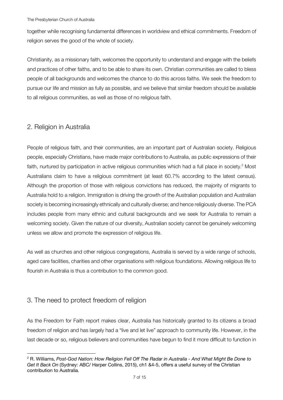together while recognising fundamental differences in worldview and ethical commitments. Freedom of religion serves the good of the whole of society.

Christianity, as a missionary faith, welcomes the opportunity to understand and engage with the beliefs and practices of other faiths, and to be able to share its own. Christian communities are called to bless people of all backgrounds and welcomes the chance to do this across faiths. We seek the freedom to pursue our life and mission as fully as possible, and we believe that similar freedom should be available to all religious communities, as well as those of no religious faith.

### 2. Religion in Australia

People of religious faith, and their communities, are an important part of Australian society. Religious people, especially Christians, have made major contributions to Australia, as public expressions of their faith, nurtured by participation in active religious communities which had a full place in society.<sup>2</sup> Most Australians claim to have a religious commitment (at least 60.7% according to the latest census). Although the proportion of those with religious convictions has reduced, the majority of migrants to Australia hold to a religion. Immigration is driving the growth of the Australian population and Australian society is becoming increasingly ethnically and culturally diverse; and hence religiously diverse. The PCA includes people from many ethnic and cultural backgrounds and we seek for Australia to remain a welcoming society. Given the nature of our diversity, Australian society cannot be genuinely welcoming unless we allow and promote the expression of religious life.

As well as churches and other religious congregations, Australia is served by a wide range of schools, aged care facilities, charities and other organisations with religious foundations. Allowing religious life to flourish in Australia is thus a contribution to the common good.

#### 3. The need to protect freedom of religion

As the Freedom for Faith report makes clear, Australia has historically granted to its citizens a broad freedom of religion and has largely had a "live and let live" approach to community life. However, in the last decade or so, religious believers and communities have begun to find it more difficult to function in

 $\overline{a}$ <sup>2</sup> R. Williams, *Post-God Nation: How Religion Fell Off The Radar in Australia - And What Might Be Done to Get It Back On* (Sydney: ABC/ Harper Collins, 2015), ch1 &4-5, offers a useful survey of the Christian contribution to Australia.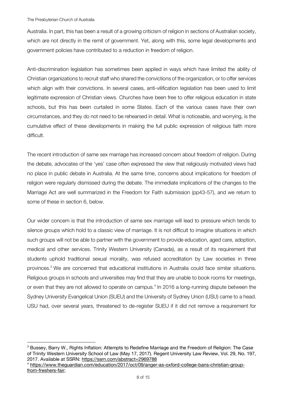$\overline{a}$ 

Australia. In part, this has been a result of a growing criticism of religion in sections of Australian society, which are not directly in the remit of government. Yet, along with this, some legal developments and government policies have contributed to a reduction in freedom of religion.

Anti-discrimination legislation has sometimes been applied in ways which have limited the ability of Christian organizations to recruit staff who shared the convictions of the organization, or to offer services which align with their convictions. In several cases, anti-vilification legislation has been used to limit legitimate expression of Christian views. Churches have been free to offer religious education in state schools, but this has been curtailed in some States. Each of the various cases have their own circumstances, and they do not need to be rehearsed in detail. What is noticeable, and worrying, is the cumulative effect of these developments in making the full public expression of religious faith more difficult.

The recent introduction of same sex marriage has increased concern about freedom of religion. During the debate, advocates of the 'yes' case often expressed the view that religiously motivated views had no place in public debate in Australia. At the same time, concerns about implications for freedom of religion were regularly dismissed during the debate. The immediate implications of the changes to the Marriage Act are well summarized in the Freedom for Faith submission (pp43-57), and we return to some of these in section 6, below.

Our wider concern is that the introduction of same sex marriage will lead to pressure which tends to silence groups which hold to a classic view of marriage. It is not difficult to imagine situations in which such groups will not be able to partner with the government to provide education, aged care, adoption, medical and other services. Trinity Western University (Canada), as a result of its requirement that students uphold traditional sexual morality, was refused accreditation by Law societies in three provinces. <sup>3</sup> We are concerned that educational institutions in Australia could face similar situations. Religious groups in schools and universities may find that they are unable to book rooms for meetings, or even that they are not allowed to operate on campus.<sup>4</sup> In 2016 a long-running dispute between the Sydney University Evangelical Union (SUEU) and the University of Sydney Union (USU) came to a head. USU had, over several years, threatened to de-register SUEU if it did not remove a requirement for

<sup>3</sup> Bussey, Barry W., Rights Inflation: Attempts to Redefine Marriage and the Freedom of Religion: The Case of Trinity Western University School of Law (May 17, 2017). Regent University Law Review, Vol. 29, No. 197, 2017. Available at SSRN: https://ssrn.com/abstract=2969788

<sup>4</sup> https://www.theguardian.com/education/2017/oct/09/anger-as-oxford-college-bans-christian-groupfrom-freshers-fair;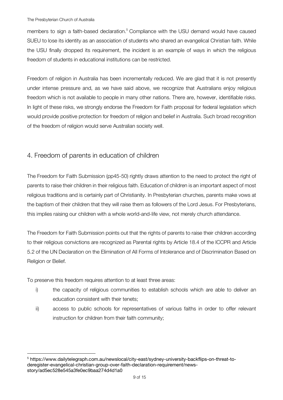members to sign a faith-based declaration.<sup>5</sup> Compliance with the USU demand would have caused SUEU to lose its identity as an association of students who shared an evangelical Christian faith. While the USU finally dropped its requirement, the incident is an example of ways in which the religious freedom of students in educational institutions can be restricted.

Freedom of religion in Australia has been incrementally reduced. We are glad that it is not presently under intense pressure and, as we have said above, we recognize that Australians enjoy religious freedom which is not available to people in many other nations. There are, however, identifiable risks. In light of these risks, we strongly endorse the Freedom for Faith proposal for federal legislation which would provide positive protection for freedom of religion and belief in Australia. Such broad recognition of the freedom of religion would serve Australian society well.

# 4. Freedom of parents in education of children

The Freedom for Faith Submission (pp45-50) rightly draws attention to the need to protect the right of parents to raise their children in their religious faith. Education of children is an important aspect of most religious traditions and is certainly part of Christianity. In Presbyterian churches, parents make vows at the baptism of their children that they will raise them as followers of the Lord Jesus. For Presbyterians, this implies raising our children with a whole world-and-life view, not merely church attendance.

The Freedom for Faith Submission points out that the rights of parents to raise their children according to their religious convictions are recognized as Parental rights by Article 18.4 of the ICCPR and Article 5.2 of the UN Declaration on the Elimination of All Forms of Intolerance and of Discrimination Based on Religion or Belief.

To preserve this freedom requires attention to at least three areas:

 $\overline{a}$ 

- i) the capacity of religious communities to establish schools which are able to deliver an education consistent with their tenets;
- ii) access to public schools for representatives of various faiths in order to offer relevant instruction for children from their faith community;

<sup>5</sup> https://www.dailytelegraph.com.au/newslocal/city-east/sydney-university-backflips-on-threat-toderegister-evangelical-christian-group-over-faith-declaration-requirement/newsstory/ad5ec528e545a3fe0ec9baa274d4d1a0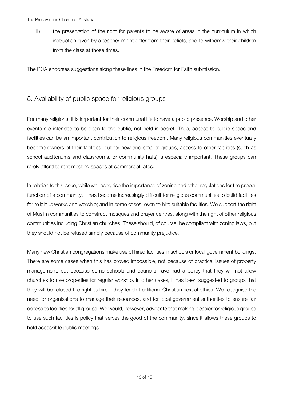iii) the preservation of the right for parents to be aware of areas in the curriculum in which instruction given by a teacher might differ from their beliefs, and to withdraw their children from the class at those times.

The PCA endorses suggestions along these lines in the Freedom for Faith submission.

#### 5. Availability of public space for religious groups

For many religions, it is important for their communal life to have a public presence. Worship and other events are intended to be open to the public, not held in secret. Thus, access to public space and facilities can be an important contribution to religious freedom. Many religious communities eventually become owners of their facilities, but for new and smaller groups, access to other facilities (such as school auditoriums and classrooms, or community halls) is especially important. These groups can rarely afford to rent meeting spaces at commercial rates.

In relation to this issue, while we recognise the importance of zoning and other regulations for the proper function of a community, it has become increasingly difficult for religious communities to build facilities for religious works and worship; and in some cases, even to hire suitable facilities. We support the right of Muslim communities to construct mosques and prayer centres, along with the right of other religious communities including Christian churches. These should, of course, be compliant with zoning laws, but they should not be refused simply because of community prejudice.

Many new Christian congregations make use of hired facilities in schools or local government buildings. There are some cases when this has proved impossible, not because of practical issues of property management, but because some schools and councils have had a policy that they will not allow churches to use properties for regular worship. In other cases, it has been suggested to groups that they will be refused the right to hire if they teach traditional Christian sexual ethics. We recognise the need for organisations to manage their resources, and for local government authorities to ensure fair access to facilities for all groups. We would, however, advocate that making it easier for religious groups to use such facilities is policy that serves the good of the community, since it allows these groups to hold accessible public meetings.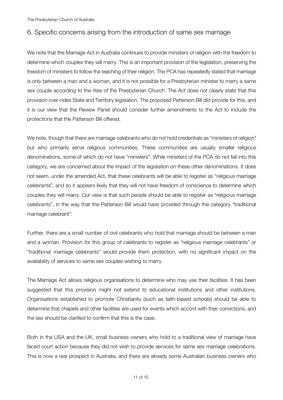#### 6. Specific concerns arising from the introduction of same sex marriage

We note that the Marriage Act in Australia continues to provide ministers of religion with the freedom to determine which couples they will marry. This is an important provision of the legislation, preserving the freedom of ministers to follow the teaching of their religion. The PCA has repeatedly stated that marriage is only between a man and a woman, and it is not possible for a Presbyterian minister to marry a same sex couple according to the rites of the Presbyterian Church. The Act does not clearly state that this provision over-rides State and Territory legislation. The proposed Patterson Bill did provide for this, and it is our view that the Review Panel should consider further amendments to the Act to include the protections that the Patterson Bill offered.

We note, though that there are marriage celebrants who do not hold credentials as "ministers of religion" but who primarily serve religious communities. These communities are usually smaller religious denominations, some of which do not have "ministers". While ministers of the PCA do not fall into this category, we are concerned about the impact of the legislation on these other denominations. It does not seem, under the amended Act, that these celebrants will be able to register as "religious marriage celebrants", and so it appears likely that they will not have freedom of conscience to determine which couples they will marry. Our view is that such people should be able to register as "religious marriage celebrants", in the way that the Patterson Bill would have provided through the category "traditional marriage celebrant".

Further, there are a small number of civil celebrants who hold that marriage should be between a man and a woman. Provision for this group of celebrants to register as "religious marriage celebrants" or "traditional marriage celebrants" would provide them protection, with no significant impact on the availability of services to same sex couples wishing to marry.

The Marriage Act allows religious organisations to determine who may use their facilities. It has been suggested that this provision might not extend to educational institutions and other institutions. Organisations established to promote Christianity (such as faith-based schools) should be able to determine that chapels and other facilities are used for events which accord with their convictions, and the law should be clarified to confirm that this is the case.

Both in the USA and the UK, small business owners who hold to a traditional view of marriage have faced court action because they did not wish to provide services for same sex marriage celebrations. This is now a real prospect in Australia, and there are already some Australian business owners who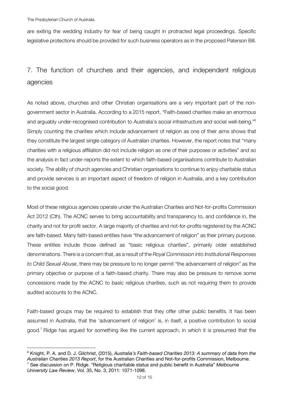$\overline{a}$ 

are exiting the wedding industry for fear of being caught in protracted legal proceedings. Specific legislative protections should be provided for such business operators as in the proposed Paterson Bill.

# 7. The function of churches and their agencies, and independent religious agencies

As noted above, churches and other Christian organisations are a very important part of the nongovernment sector in Australia. According to a 2015 report, "Faith-based charities make an enormous and arguably under-recognised contribution to Australia's social infrastructure and social well-being."6 Simply counting the charities which include advancement of religion as one of their aims shows that they constitute the largest single category of Australian charities. However, the report notes that "many charities with a religious affiliation did not include religion as one of their purposes or activities" and so the analysis in fact under-reports the extent to which faith-based organisations contribute to Australian society. The ability of church agencies and Christian organisations to continue to enjoy charitable status and provide services is an important aspect of freedom of religion in Australia, and a key contribution to the social good.

Most of these religious agencies operate under the Australian Charities and Not-for-profits Commission Act 2012 (Cth). The ACNC serves to bring accountability and transparency to, and confidence in, the charity and not for profit sector. A large majority of charities and not-for-profits registered by the ACNC are faith-based. Many faith-based entities have "the advancement of religion" as their primary purpose. These entities include those defined as "basic religious charities", primarily older established denominations. There is a concern that, as a result of the *Royal Commission into Institutional Responses to Child Sexual Abuse*, there may be pressure to no longer permit "the advancement of religion" as the primary objective or purpose of a faith-based charity. There may also be pressure to remove some concessions made by the ACNC to basic religious charities, such as not requiring them to provide audited accounts to the ACNC.

Faith-based groups may be required to establish that they offer other public benefits. It has been assumed in Australia, that the 'advancement of religion' is, in itself, a positive contribution to social good.7 Ridge has argued for something like the current approach, in which it is presumed that the

<sup>6</sup> Knight, P. A. and D. J. Gilchrist, (2015), *Australia's Faith-based Charities 2013: A summary of data from the Australian Charities 2013 Report*, for the Australian Charities and Not-for-profits Commission, Melbourne. <sup>7</sup> See discussion on P. Ridge. "Religious charitable status and public benefit in Australia" *Melbourne University Law Review*, Vol. 35, No. 3, 2011: 1071-1098.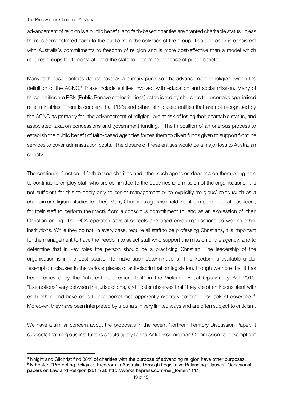$\overline{a}$ 

advancement of religion is a public benefit, and faith-based charities are granted charitable status unless there is demonstrated harm to the public from the activities of the group. This approach is consistent with Australia's commitments to freedom of religion and is more cost-effective than a model which requires groups to demonstrate and the state to determine evidence of public benefit.

Many faith-based entities do not have as a primary purpose "the advancement of religion" within the definition of the ACNC.<sup>8</sup> These include entities involved with education and social mission. Many of these entities are PBIs (Public Benevolent Institutions) established by churches to undertake specialised relief ministries. There is concern that PBI's and other faith-based entities that are not recognised by the ACNC as primarily for "the advancement of religion" are at risk of losing their charitable status, and associated taxation concessions and government funding. The imposition of an onerous process to establish the public benefit of faith-based agencies forces them to divert funds given to support frontline services to cover administration costs. The closure of these entities would be a major loss to Australian society

The continued function of faith-based charities and other such agencies depends on them being able to continue to employ staff who are committed to the doctrines and mission of the organisations. It is not sufficient for this to apply only to senior management or to explicitly 'religious' roles (such as a chaplain or religious studies teacher). Many Christians agencies hold that it is important, or at least ideal, for their staff to perform their work from a conscious commitment to, and as an expression of, their Christian calling. The PCA operates several schools and aged care organisations as well as other institutions. While they do not, in every case, require all staff to be professing Christians, it is important for the management to have the freedom to select staff who support the mission of the agency, and to determine that in key roles the person should be a practicing Christian. The leadership of the organisation is in the best position to make such determinations. This freedom is available under 'exemption' clauses in the various pieces of anti-discrimination legislation, though we note that it has been removed by the 'inherent requirement test' in the Victorian Equal Opportunity Act 2010. "Exemptions" vary between the jurisdictions, and Foster observes that "they are often inconsistent with each other, and have an odd and sometimes apparently arbitrary coverage, or lack of coverage."<sup>9</sup> Moreover, they have been interpreted by tribunals in very limited ways and are often subject to criticism.

We have a similar concern about the proposals in the recent Northern Territory Discussion Paper. It suggests that religious institutions should apply to the Anti-Discrimination Commission for "exemption"

<sup>&</sup>lt;sup>8</sup> Knight and Gilchrist find 38% of charities with the purpose of advancing religion have other purposes. <sup>9</sup> N Foster, "Protecting Religious Freedom in Australia Through Legislative Balancing Clauses" Occasional papers on Law and Religion (2017) at: http://works.bepress.com/neil\_foster/111/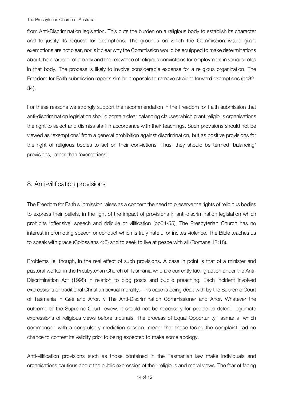from Anti-Discrimination legislation. This puts the burden on a religious body to establish its character and to justify its request for exemptions. The grounds on which the Commission would grant exemptions are not clear, nor is it clear why the Commission would be equipped to make determinations about the character of a body and the relevance of religious convictions for employment in various roles in that body. The process is likely to involve considerable expense for a religious organization. The Freedom for Faith submission reports similar proposals to remove straight-forward exemptions (pp32- 34).

For these reasons we strongly support the recommendation in the Freedom for Faith submission that anti-discrimination legislation should contain clear balancing clauses which grant religious organisations the right to select and dismiss staff in accordance with their teachings. Such provisions should not be viewed as 'exemptions' from a general prohibition against discrimination, but as positive provisions for the right of religious bodies to act on their convictions. Thus, they should be termed 'balancing' provisions, rather than 'exemptions'.

#### 8. Anti-vilification provisions

The Freedom for Faith submission raises as a concern the need to preserve the rights of religious bodies to express their beliefs, in the light of the impact of provisions in anti-discrimination legislation which prohibits 'offensive' speech and ridicule or vilification (pp54-55). The Presbyterian Church has no interest in promoting speech or conduct which is truly hateful or incites violence. The Bible teaches us to speak with grace (Colossians 4:6) and to seek to live at peace with all (Romans 12:18).

Problems lie, though, in the real effect of such provisions. A case in point is that of a minister and pastoral worker in the Presbyterian Church of Tasmania who are currently facing action under the Anti-Discrimination Act (1998) in relation to blog posts and public preaching. Each incident involved expressions of traditional Christian sexual morality. This case is being dealt with by the Supreme Court of Tasmania in Gee and Anor. v The Anti-Discrimination Commissioner and Anor. Whatever the outcome of the Supreme Court review, it should not be necessary for people to defend legitimate expressions of religious views before tribunals. The process of Equal Opportunity Tasmania, which commenced with a compulsory mediation session, meant that those facing the complaint had no chance to contest its validity prior to being expected to make some apology.

Anti-vilification provisions such as those contained in the Tasmanian law make individuals and organisations cautious about the public expression of their religious and moral views. The fear of facing